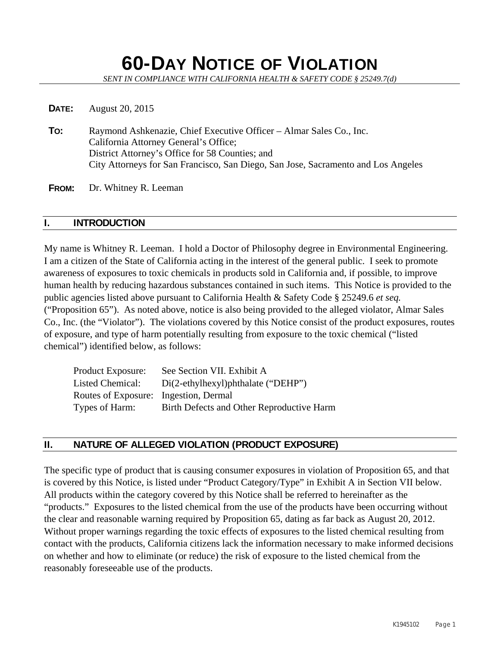# **60-DAY NOTICE OF VIOLATION**

*SENT IN COMPLIANCE WITH CALIFORNIA HEALTH & SAFETY CODE § 25249.7(d)* 

#### **DATE:** August 20, 2015

**TO:** Raymond Ashkenazie, Chief Executive Officer – Almar Sales Co., Inc. California Attorney General's Office; District Attorney's Office for 58 Counties; and City Attorneys for San Francisco, San Diego, San Jose, Sacramento and Los Angeles

**FROM:** Dr. Whitney R. Leeman

#### **I. INTRODUCTION**

My name is Whitney R. Leeman. I hold a Doctor of Philosophy degree in Environmental Engineering. I am a citizen of the State of California acting in the interest of the general public. I seek to promote awareness of exposures to toxic chemicals in products sold in California and, if possible, to improve human health by reducing hazardous substances contained in such items. This Notice is provided to the public agencies listed above pursuant to California Health & Safety Code § 25249.6 *et seq.* ("Proposition 65"). As noted above, notice is also being provided to the alleged violator, Almar Sales Co., Inc. (the "Violator"). The violations covered by this Notice consist of the product exposures, routes of exposure, and type of harm potentially resulting from exposure to the toxic chemical ("listed chemical") identified below, as follows:

| Product Exposure:                     | See Section VII. Exhibit A                |
|---------------------------------------|-------------------------------------------|
| Listed Chemical:                      | Di(2-ethylhexyl)phthalate ("DEHP")        |
| Routes of Exposure: Ingestion, Dermal |                                           |
| Types of Harm:                        | Birth Defects and Other Reproductive Harm |

#### **II. NATURE OF ALLEGED VIOLATION (PRODUCT EXPOSURE)**

The specific type of product that is causing consumer exposures in violation of Proposition 65, and that is covered by this Notice, is listed under "Product Category/Type" in Exhibit A in Section VII below. All products within the category covered by this Notice shall be referred to hereinafter as the "products." Exposures to the listed chemical from the use of the products have been occurring without the clear and reasonable warning required by Proposition 65, dating as far back as August 20, 2012. Without proper warnings regarding the toxic effects of exposures to the listed chemical resulting from contact with the products, California citizens lack the information necessary to make informed decisions on whether and how to eliminate (or reduce) the risk of exposure to the listed chemical from the reasonably foreseeable use of the products.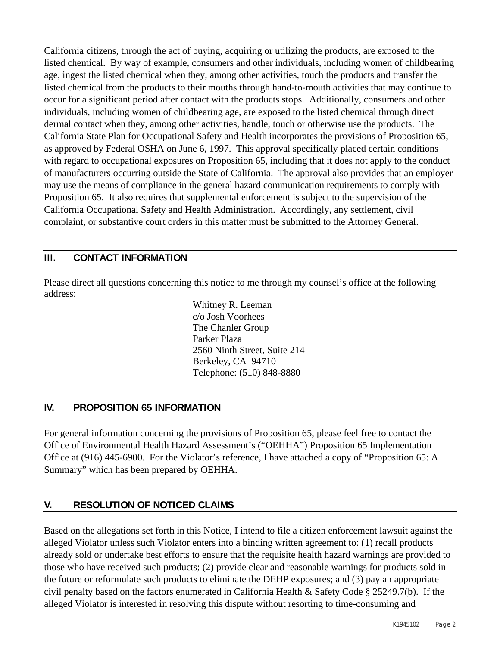California citizens, through the act of buying, acquiring or utilizing the products, are exposed to the listed chemical. By way of example, consumers and other individuals, including women of childbearing age, ingest the listed chemical when they, among other activities, touch the products and transfer the listed chemical from the products to their mouths through hand-to-mouth activities that may continue to occur for a significant period after contact with the products stops. Additionally, consumers and other individuals, including women of childbearing age, are exposed to the listed chemical through direct dermal contact when they, among other activities, handle, touch or otherwise use the products. The California State Plan for Occupational Safety and Health incorporates the provisions of Proposition 65, as approved by Federal OSHA on June 6, 1997. This approval specifically placed certain conditions with regard to occupational exposures on Proposition 65, including that it does not apply to the conduct of manufacturers occurring outside the State of California. The approval also provides that an employer may use the means of compliance in the general hazard communication requirements to comply with Proposition 65. It also requires that supplemental enforcement is subject to the supervision of the California Occupational Safety and Health Administration. Accordingly, any settlement, civil complaint, or substantive court orders in this matter must be submitted to the Attorney General.

### **III. CONTACT INFORMATION**

Please direct all questions concerning this notice to me through my counsel's office at the following address:

> Whitney R. Leeman c/o Josh Voorhees The Chanler Group Parker Plaza 2560 Ninth Street, Suite 214 Berkeley, CA 94710 Telephone: (510) 848-8880

#### **IV. PROPOSITION 65 INFORMATION**

For general information concerning the provisions of Proposition 65, please feel free to contact the Office of Environmental Health Hazard Assessment's ("OEHHA") Proposition 65 Implementation Office at (916) 445-6900. For the Violator's reference, I have attached a copy of "Proposition 65: A Summary" which has been prepared by OEHHA.

#### **V. RESOLUTION OF NOTICED CLAIMS**

Based on the allegations set forth in this Notice, I intend to file a citizen enforcement lawsuit against the alleged Violator unless such Violator enters into a binding written agreement to: (1) recall products already sold or undertake best efforts to ensure that the requisite health hazard warnings are provided to those who have received such products; (2) provide clear and reasonable warnings for products sold in the future or reformulate such products to eliminate the DEHP exposures; and (3) pay an appropriate civil penalty based on the factors enumerated in California Health & Safety Code § 25249.7(b). If the alleged Violator is interested in resolving this dispute without resorting to time-consuming and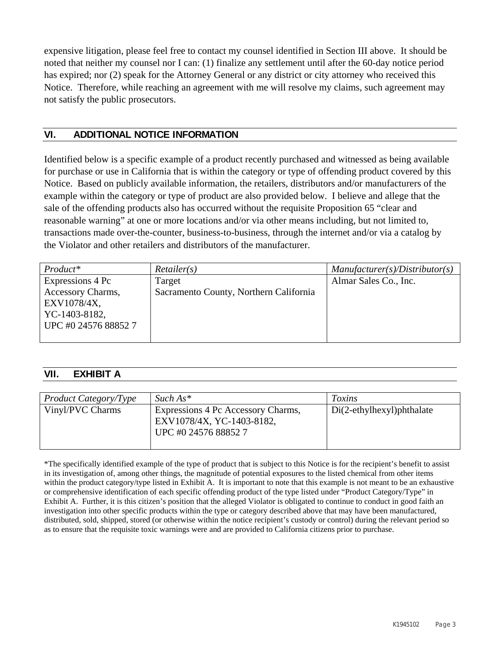expensive litigation, please feel free to contact my counsel identified in Section III above. It should be noted that neither my counsel nor I can: (1) finalize any settlement until after the 60-day notice period has expired; nor (2) speak for the Attorney General or any district or city attorney who received this Notice. Therefore, while reaching an agreement with me will resolve my claims, such agreement may not satisfy the public prosecutors.

#### **VI. ADDITIONAL NOTICE INFORMATION**

Identified below is a specific example of a product recently purchased and witnessed as being available for purchase or use in California that is within the category or type of offending product covered by this Notice. Based on publicly available information, the retailers, distributors and/or manufacturers of the example within the category or type of product are also provided below. I believe and allege that the sale of the offending products also has occurred without the requisite Proposition 65 "clear and reasonable warning" at one or more locations and/or via other means including, but not limited to, transactions made over-the-counter, business-to-business, through the internet and/or via a catalog by the Violator and other retailers and distributors of the manufacturer.

| $Product*$           | Retailer(s)                            | $M$ anufacturer(s)/Distributor(s) |
|----------------------|----------------------------------------|-----------------------------------|
| Expressions 4 Pc     | Target                                 | Almar Sales Co., Inc.             |
| Accessory Charms,    | Sacramento County, Northern California |                                   |
| EXV1078/4X,          |                                        |                                   |
| YC-1403-8182,        |                                        |                                   |
| UPC #0 24576 88852 7 |                                        |                                   |
|                      |                                        |                                   |

#### **VII. EXHIBIT A**

| <i>Product Category/Type</i> | $Such As*$                                                                              | Toxins                       |
|------------------------------|-----------------------------------------------------------------------------------------|------------------------------|
| Vinyl/PVC Charms             | Expressions 4 Pc Accessory Charms,<br>EXV1078/4X, YC-1403-8182,<br>UPC #0 24576 88852 7 | $Di(2-ethylhexyl)$ phthalate |

\*The specifically identified example of the type of product that is subject to this Notice is for the recipient's benefit to assist in its investigation of, among other things, the magnitude of potential exposures to the listed chemical from other items within the product category/type listed in Exhibit A. It is important to note that this example is not meant to be an exhaustive or comprehensive identification of each specific offending product of the type listed under "Product Category/Type" in Exhibit A. Further, it is this citizen's position that the alleged Violator is obligated to continue to conduct in good faith an investigation into other specific products within the type or category described above that may have been manufactured, distributed, sold, shipped, stored (or otherwise within the notice recipient's custody or control) during the relevant period so as to ensure that the requisite toxic warnings were and are provided to California citizens prior to purchase.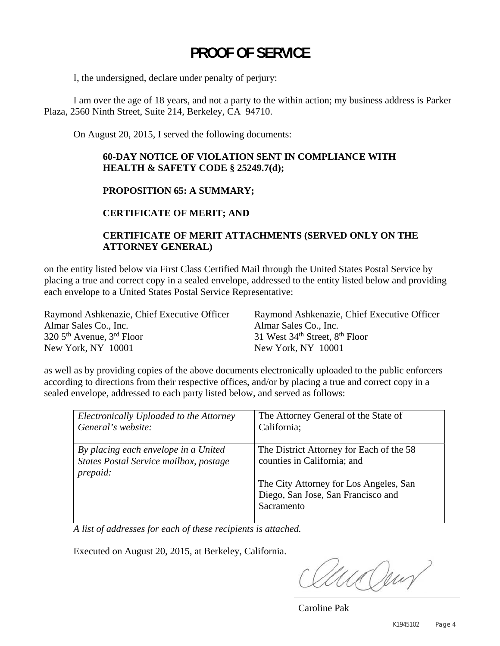## **PROOF OF SERVICE**

I, the undersigned, declare under penalty of perjury:

 I am over the age of 18 years, and not a party to the within action; my business address is Parker Plaza, 2560 Ninth Street, Suite 214, Berkeley, CA 94710.

On August 20, 2015, I served the following documents:

#### **60-DAY NOTICE OF VIOLATION SENT IN COMPLIANCE WITH HEALTH & SAFETY CODE § 25249.7(d);**

#### **PROPOSITION 65: A SUMMARY;**

**CERTIFICATE OF MERIT; AND** 

### **CERTIFICATE OF MERIT ATTACHMENTS (SERVED ONLY ON THE ATTORNEY GENERAL)**

on the entity listed below via First Class Certified Mail through the United States Postal Service by placing a true and correct copy in a sealed envelope, addressed to the entity listed below and providing each envelope to a United States Postal Service Representative:

Raymond Ashkenazie, Chief Executive Officer Almar Sales Co., Inc. 320 5th Avenue, 3rd Floor New York, NY 10001

Raymond Ashkenazie, Chief Executive Officer Almar Sales Co., Inc. 31 West 34<sup>th</sup> Street, 8<sup>th</sup> Floor New York, NY 10001

as well as by providing copies of the above documents electronically uploaded to the public enforcers according to directions from their respective offices, and/or by placing a true and correct copy in a sealed envelope, addressed to each party listed below, and served as follows:

| Electronically Uploaded to the Attorney                                                    | The Attorney General of the State of                                                                                                                                  |
|--------------------------------------------------------------------------------------------|-----------------------------------------------------------------------------------------------------------------------------------------------------------------------|
| General's website:                                                                         | California;                                                                                                                                                           |
| By placing each envelope in a United<br>States Postal Service mailbox, postage<br>prepaid: | The District Attorney for Each of the 58<br>counties in California; and<br>The City Attorney for Los Angeles, San<br>Diego, San Jose, San Francisco and<br>Sacramento |

 *A list of addresses for each of these recipients is attached.* 

Executed on August 20, 2015, at Berkeley, California.

ua kur

Caroline Pak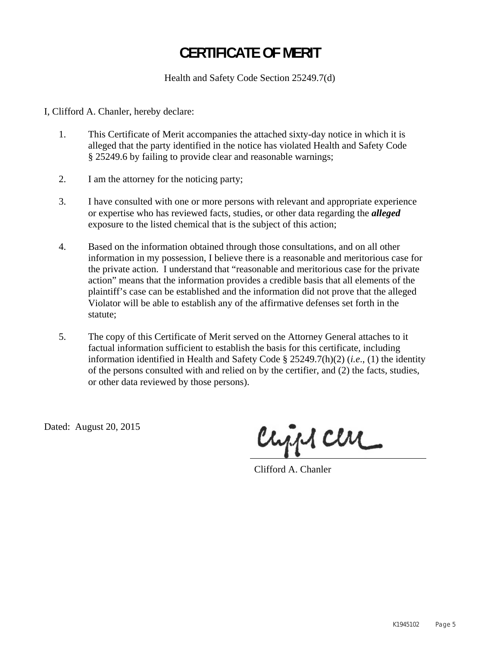## **CERTIFICATE OF MERIT**

Health and Safety Code Section 25249.7(d)

I, Clifford A. Chanler, hereby declare:

- 1. This Certificate of Merit accompanies the attached sixty-day notice in which it is alleged that the party identified in the notice has violated Health and Safety Code § 25249.6 by failing to provide clear and reasonable warnings;
- 2. I am the attorney for the noticing party;
- 3. I have consulted with one or more persons with relevant and appropriate experience or expertise who has reviewed facts, studies, or other data regarding the *alleged* exposure to the listed chemical that is the subject of this action;
- 4. Based on the information obtained through those consultations, and on all other information in my possession, I believe there is a reasonable and meritorious case for the private action. I understand that "reasonable and meritorious case for the private action" means that the information provides a credible basis that all elements of the plaintiff's case can be established and the information did not prove that the alleged Violator will be able to establish any of the affirmative defenses set forth in the statute;
- 5. The copy of this Certificate of Merit served on the Attorney General attaches to it factual information sufficient to establish the basis for this certificate, including information identified in Health and Safety Code § 25249.7(h)(2) (*i.e*., (1) the identity of the persons consulted with and relied on by the certifier, and (2) the facts, studies, or other data reviewed by those persons).

Dated: August 20, 2015

Chips Clu

Clifford A. Chanler